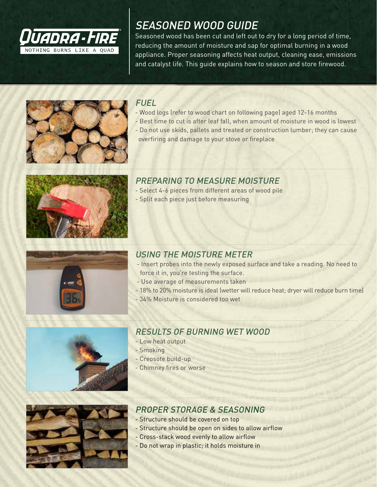

## SEASONED WOOD GUIDE

Seasoned wood has been cut and left out to dry for a long period of time, reducing the amount of moisture and sap for optimal burning in a wood appliance. Proper seasoning affects heat output, cleaning ease, emissions and catalyst life. This guide explains how to season and store firewood.



## **FUEL**

- Wood logs (refer to wood chart on following page) aged 12-16 months
- Best time to cut is after leaf fall, when amount of moisture in wood is lowest
	- Do not use skids, pallets and treated or construction lumber; they can cause overfiring and damage to your stove or fireplace



## PREPARING TO MEASURE MOISTURE

- Select 4-6 pieces from different areas of wood pile
- Split each piece just before measuring



### USING THE MOISTURE METER

- Insert probes into the newly exposed surface and take a reading. No need to force it in, you're testing the surface.
- Use average of measurements taken
- 18% to 20% moisture is ideal (wetter will reduce heat; dryer will reduce burn time)
- 34% Moisture is considered too wet



### RESULTS OF BURNING WET WOOD

- Low heat output
- Smoking
- Creosote build-up
- Chimney fires or worse



## PROPER STORAGE & SEASONING

- Structure should be covered on top
- Structure should be open on sides to allow airflow
- Cross-stack wood evenly to allow airflow
- Do not wrap in plastic; it holds moisture in